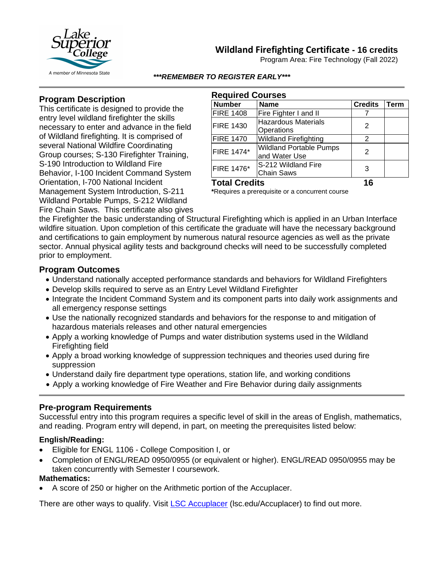# **Wildland Firefighting Certificate - 16 credits**





#### *\*\*\*REMEMBER TO REGISTER EARLY\*\*\**

## **Program Description**

This certificate is designed to provide the entry level wildland firefighter the skills necessary to enter and advance in the field of Wildland firefighting. It is comprised of several National Wildfire Coordinating Group courses; S-130 Firefighter Training, S-190 Introduction to Wildland Fire Behavior, I-100 Incident Command System Orientation, I-700 National Incident Management System Introduction, S-211 Wildland Portable Pumps, S-212 Wildland Fire Chain Saws. This certificate also gives

| <b>Required Courses</b> |                                                 |                |      |
|-------------------------|-------------------------------------------------|----------------|------|
| <b>Number</b>           | <b>Name</b>                                     | <b>Credits</b> | Term |
| <b>FIRE 1408</b>        | Fire Fighter I and II                           |                |      |
| <b>FIRE 1430</b>        | <b>Hazardous Materials</b><br>Operations        | 2              |      |
| <b>FIRE 1470</b>        | <b>Wildland Firefighting</b>                    | 2              |      |
| <b>FIRE 1474*</b>       | <b>Wildland Portable Pumps</b><br>and Water Use | $\mathcal{P}$  |      |
| FIRE 1476*              | S-212 Wildland Fire<br><b>Chain Saws</b>        | 3              |      |
| <b>Total Credits</b>    |                                                 | 16             |      |

**\***Requires a prerequisite or a concurrent course

the Firefighter the basic understanding of Structural Firefighting which is applied in an Urban Interface wildfire situation. Upon completion of this certificate the graduate will have the necessary background and certifications to gain employment by numerous natural resource agencies as well as the private sector. Annual physical agility tests and background checks will need to be successfully completed prior to employment.

## **Program Outcomes**

- Understand nationally accepted performance standards and behaviors for Wildland Firefighters
- Develop skills required to serve as an Entry Level Wildland Firefighter
- Integrate the Incident Command System and its component parts into daily work assignments and all emergency response settings
- Use the nationally recognized standards and behaviors for the response to and mitigation of hazardous materials releases and other natural emergencies
- Apply a working knowledge of Pumps and water distribution systems used in the Wildland Firefighting field
- Apply a broad working knowledge of suppression techniques and theories used during fire suppression
- Understand daily fire department type operations, station life, and working conditions
- Apply a working knowledge of Fire Weather and Fire Behavior during daily assignments

## **Pre-program Requirements**

Successful entry into this program requires a specific level of skill in the areas of English, mathematics, and reading. Program entry will depend, in part, on meeting the prerequisites listed below:

#### **English/Reading:**

- Eligible for ENGL 1106 College Composition I, or
- Completion of ENGL/READ 0950/0955 (or equivalent or higher). ENGL/READ 0950/0955 may be taken concurrently with Semester I coursework.

#### **Mathematics:**

• A score of 250 or higher on the Arithmetic portion of the Accuplacer.

There are other ways to qualify. Visit [LSC Accuplacer](https://www.lsc.edu/accuplacer/) (lsc.edu/Accuplacer) to find out more.